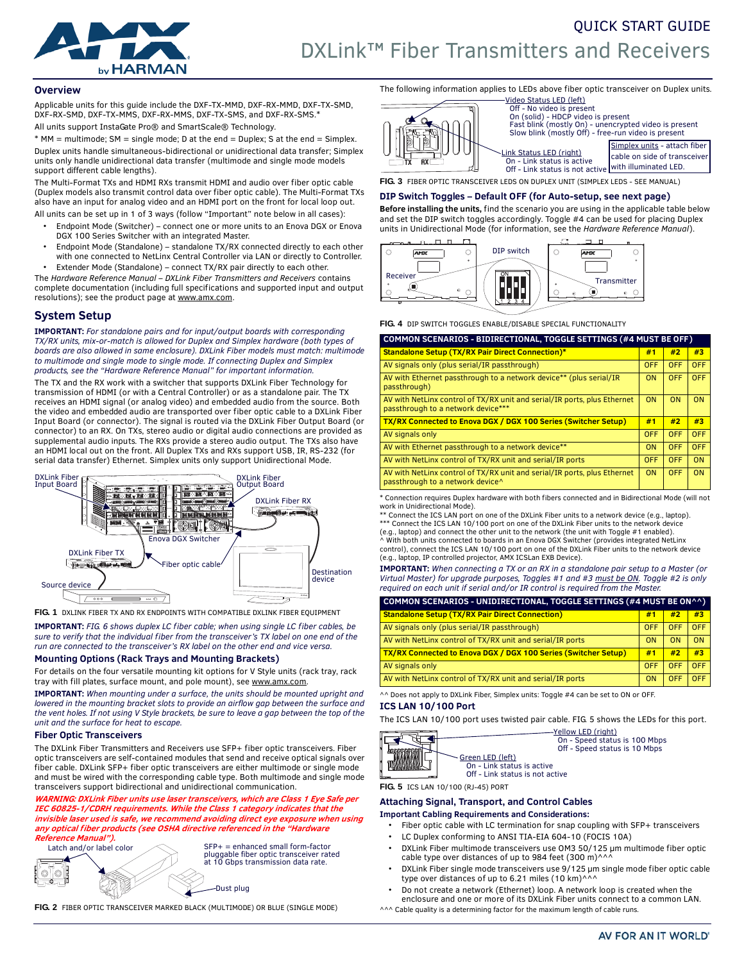

# **Overview**

Applicable units for this guide include the DXF-TX-MMD, DXF-RX-MMD, DXF-TX-SMD, DXF-RX-SMD, DXF-TX-MMS, DXF-RX-MMS, DXF-TX-SMS, and DXF-RX-SMS.\* All units support InstaGate Pro® and SmartScale® Technology.

 $*$  MM = multimode; SM = single mode; D at the end = Duplex; S at the end = Simplex. Duplex units handle simultaneous-bidirectional or unidirectional data transfer; Simplex units only handle unidirectional data transfer (multimode and single mode models support different cable lengths).

The Multi-Format TXs and HDMI RXs transmit HDMI and audio over fiber optic cable (Duplex models also transmit control data over fiber optic cable). The Multi-Format TXs also have an input for analog video and an HDMI port on the front for local loop out. All units can be set up in 1 of 3 ways (follow "Important" note below in all cases):

- Endpoint Mode (Switcher) connect one or more units to an Enova DGX or Enova DGX 100 Series Switcher with an integrated Master.
- Endpoint Mode (Standalone) standalone TX/RX connected directly to each other with one connected to NetLinx Central Controller via LAN or directly to Controller.
- Extender Mode (Standalone) connect TX/RX pair directly to each other. The *Hardware Reference Manual – DXLink Fiber Transmitters and Receivers* contains

complete documentation (including full specifications and supported input and output resolutions); see the product page at www.amx.com.

# **System Setup**

**IMPORTANT:** *For standalone pairs and for input/output boards with corresponding TX/RX units, mix-or-match is allowed for Duplex and Simplex hardware (both types of boards are also allowed in same enclosure). DXLink Fiber models must match: multimode to multimode and single mode to single mode. If connecting Duplex and Simplex products, see the "Hardware Reference Manual" for important information.* 

The TX and the RX work with a switcher that supports DXLink Fiber Technology for transmission of HDMI (or with a Central Controller) or as a standalone pair. The TX receives an HDMI signal (or analog video) and embedded audio from the source. Both the video and embedded audio are transported over fiber optic cable to a DXLink Fiber Input Board (or connector). The signal is routed via the DXLink Fiber Output Board (or connector) to an RX. On TXs, stereo audio or digital audio connections are provided as supplemental audio inputs. The RXs provide a stereo audio output. The TXs also have an HDMI local out on the front. All Duplex TXs and RXs support USB, IR, RS-232 (for serial data transfer) Ethernet. Simplex units only support Unidirectional Mode.



**FIG. 1** DXLINK FIBER TX AND RX ENDPOINTS WITH COMPATIBLE DXLINK FIBER EQUIPMENT

**IMPORTANT:** *FIG. 6 shows duplex LC fiber cable; when using single LC fiber cables, be sure to verify that the individual fiber from the transceiver's TX label on one end of the run are connected to the transceiver's RX label on the other end and vice versa.*

### **Mounting Options (Rack Trays and Mounting Brackets)**

For details on the four versatile mounting kit options for V Style units (rack tray, rack tray with fill plates, surface mount, and pole mount), see www.amx.com.

**IMPORTANT:** *When mounting under a surface, the units should be mounted upright and lowered in the mounting bracket slots to provide an airflow gap between the surface and the vent holes. If not using V Style brackets, be sure to leave a gap between the top of the unit and the surface for heat to escape.*

### **Fiber Optic Transceivers**

The DXLink Fiber Transmitters and Receivers use SFP+ fiber optic transceivers. Fiber optic transceivers are self-contained modules that send and receive optical signals over fiber cable. DXLink SFP+ fiber optic transceivers are either multimode or single mode and must be wired with the corresponding cable type. Both multimode and single mode transceivers support bidirectional and unidirectional communication.

**WARNING: DXLink Fiber units use laser transceivers, which are Class 1 Eye Safe per IEC 60825-1/CDRH requirements. While the Class 1 category indicates that the invisible laser used is safe, we recommend avoiding direct eye exposure when using any optical fiber products (see OSHA directive referenced in the "Hardware Reference Manual").**



**FIG. 2** FIBER OPTIC TRANSCEIVER MARKED BLACK (MULTIMODE) OR BLUE (SINGLE MODE)

The following information applies to LEDs above fiber optic transceiver on Duplex units. Video Status LED (left) Off - No video is present



 On (solid) - HDCP video is present Fast blink (mostly On) - unencrypted video is present Slow blink (mostly Off) - free-run video is present

Link Status LED (right) Simplex units - attach fiber cable on side of transceive with illuminated LED. On - Link status is active Off - Link status is not active

**FIG. 3** FIBER OPTIC TRANSCEIVER LEDS ON DUPLEX UNIT (SIMPLEX LEDS - SEE MANUAL)

# **DIP Switch Toggles – Default OFF (for Auto-setup, see next page)**

**Before installing the units,** find the scenario you are using in the applicable table below and set the DIP switch toggles accordingly. Toggle #4 can be used for placing Duplex units in Unidirectional Mode (for information, see the *Hardware Reference Manual*).



**FIG. 4** DIP SWITCH TOGGLES ENABLE/DISABLE SPECIAL FUNCTIONALITY

| <b>COMMON SCENARIOS - BIDIRECTIONAL, TOGGLE SETTINGS (#4 MUST BE OFF)</b>                                      |           |            |            |  |  |
|----------------------------------------------------------------------------------------------------------------|-----------|------------|------------|--|--|
| <b>Standalone Setup (TX/RX Pair Direct Connection)*</b>                                                        |           | #2         | #3         |  |  |
| AV signals only (plus serial/IR passthrough)                                                                   |           | <b>OFF</b> | <b>OFF</b> |  |  |
| AV with Ethernet passthrough to a network device** (plus serial/IR<br>passthrough)                             | <b>ON</b> | <b>OFF</b> | <b>OFF</b> |  |  |
| AV with NetLinx control of TX/RX unit and serial/IR ports, plus Ethernet<br>passthrough to a network device*** |           | ON         | ON         |  |  |
| TX/RX Connected to Enova DGX / DGX 100 Series (Switcher Setup)                                                 |           | #2         | #3         |  |  |
| AV signals only                                                                                                |           | OFF        | <b>OFF</b> |  |  |
| AV with Ethernet passthrough to a network device**                                                             |           | OFF        | <b>OFF</b> |  |  |
| AV with NetLinx control of TX/RX unit and serial/IR ports                                                      |           | <b>OFF</b> | ON         |  |  |
| AV with NetLinx control of TX/RX unit and serial/IR ports, plus Ethernet<br>passthrough to a network device^   | <b>ON</b> | <b>OFF</b> | ON         |  |  |

\* Connection requires Duplex hardware with both fibers connected and in Bidirectional Mode (will not work in Unidirectional Mode). \*\* Connect the ICS LAN port on one of the DXLink Fiber units to a network device (e.g., laptop).

\*\*\* Connect the ICS LAN 10/100 port on one of the DXLink Fiber units to the network device (e.g., laptop) and connect the other unit to the network (the unit with Toggle #1 enabled). ^ With both units connected to boards in an Enova DGX Switcher (provides integrated NetLinx

control), connect the ICS LAN 10/100 port on one of the DXLink Fiber units to the network device (e.g., laptop, IP controlled projector, AMX ICSLan EXB Device).

**IMPORTANT:** *When connecting a TX or an RX in a standalone pair setup to a Master (or Virtual Master) for upgrade purposes, Toggles #1 and #3 must be ON. Toggle #2 is only required on each unit if serial and/or IR control is required from the Master.*

| COMMON SCENARIOS - UNIDIRECTIONAL, TOGGLE SETTINGS (#4 MUST BE ON^^) |            |            |            |  |  |
|----------------------------------------------------------------------|------------|------------|------------|--|--|
| <b>Standalone Setup (TX/RX Pair Direct Connection)</b>               | #1         | #2         | #3         |  |  |
| AV signals only (plus serial/IR passthrough)                         | <b>OFF</b> | <b>OFF</b> | <b>OFF</b> |  |  |
| AV with NetLinx control of TX/RX unit and serial/IR ports            | ON         | ON         | ON         |  |  |
| TX/RX Connected to Enova DGX / DGX 100 Series (Switcher Setup)       |            | #2         | #3         |  |  |
| AV signals only                                                      | <b>OFF</b> | <b>OFF</b> | <b>OFF</b> |  |  |
| AV with NetLinx control of TX/RX unit and serial/IR ports            | ON         | <b>OFF</b> | <b>OFF</b> |  |  |

^^ Does not apply to DXLink Fiber, Simplex units: Toggle #4 can be set to ON or OFF.

# **ICS LAN 10/100 Port**

The ICS LAN 10/100 port uses twisted pair cable. FIG. 5 shows the LEDs for this port.



Yellow LED (right) On - Speed status is 100 Mbps Off - Speed status is 10 Mbps

 On - Link status is active Off - Link status is not active

**FIG. 5** ICS LAN 10/100 (RJ-45) PORT

### **Attaching Signal, Transport, and Control Cables Important Cabling Requirements and Considerations:**

- Fiber optic cable with LC termination for snap coupling with SFP+ transceivers
- LC Duplex conforming to ANSI TIA-EIA 604-10 (FOCIS 10A)
- DXLink Fiber multimode transceivers use OM3 50/125 μm multimode fiber optic cable type over distances of up to 984 feet (300 m) $^{\wedge\wedge\wedge}$
- DXLink Fiber single mode transceivers use 9/125 μm single mode fiber optic cable type over distances of up to 6.21 miles  $(10 \text{ km})^{\wedge \wedge \wedge}$
- Do not create a network (Ethernet) loop. A network loop is created when the enclosure and one or more of its DXLink Fiber units connect to a common LAN.

^^^ Cable quality is a determining factor for the maximum length of cable runs.